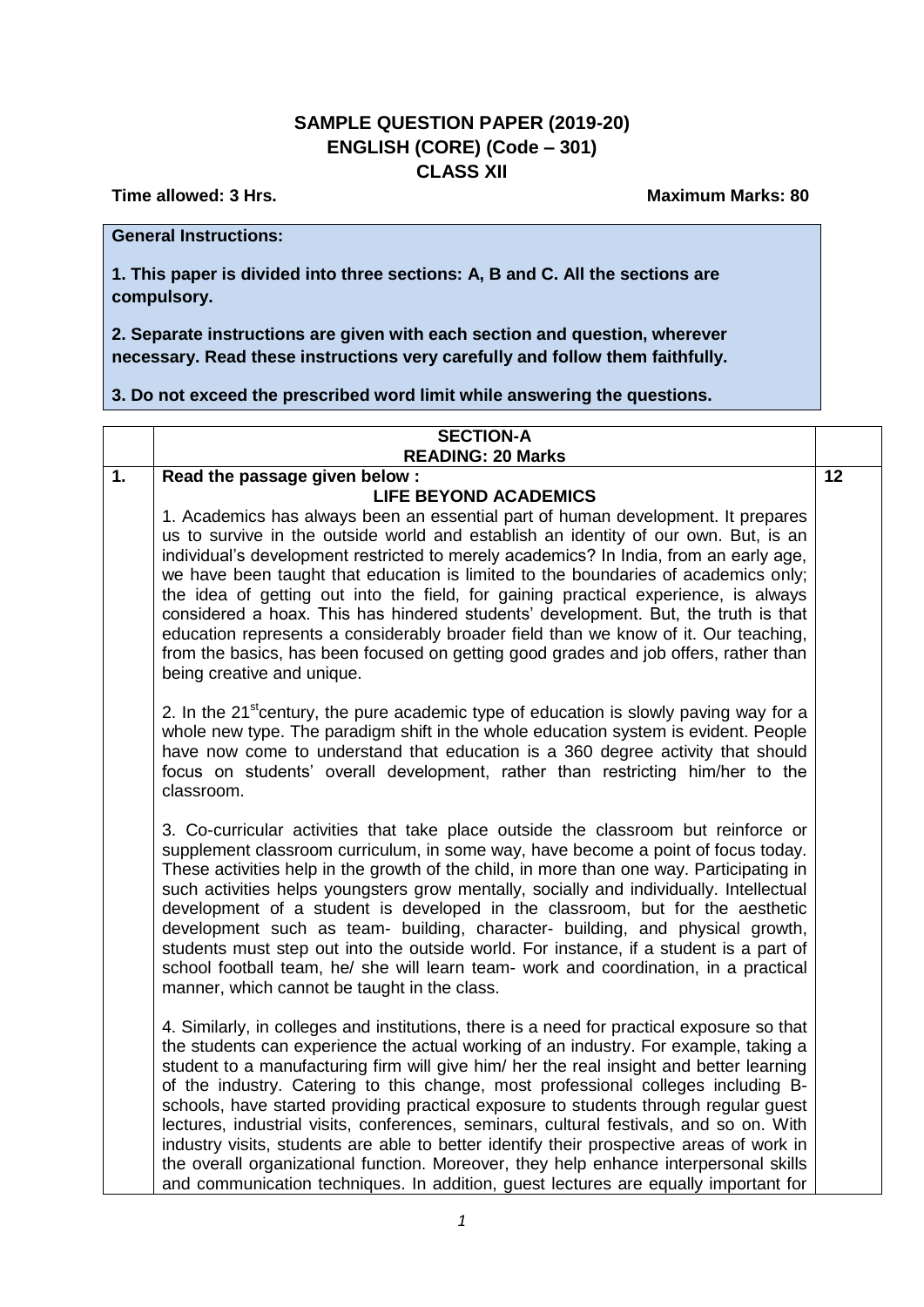## **SAMPLE QUESTION PAPER (2019-20) ENGLISH (CORE) (Code – 301) CLASS XII**

**Time allowed: 3 Hrs.** Maximum Marks: 80

## **General Instructions:**

**1. This paper is divided into three sections: A, B and C. All the sections are compulsory.** 

**2. Separate instructions are given with each section and question, wherever necessary. Read these instructions very carefully and follow them faithfully.** 

**3. Do not exceed the prescribed word limit while answering the questions.**

| <b>SECTION-A</b>         |  |
|--------------------------|--|
| <b>READING: 20 Marks</b> |  |

| $\overline{1}$ . | Read the passage given below :                                                                                                                                               | $\overline{12}$ |
|------------------|------------------------------------------------------------------------------------------------------------------------------------------------------------------------------|-----------------|
|                  | <b>LIFE BEYOND ACADEMICS</b>                                                                                                                                                 |                 |
|                  | 1. Academics has always been an essential part of human development. It prepares                                                                                             |                 |
|                  | us to survive in the outside world and establish an identity of our own. But, is an                                                                                          |                 |
|                  | individual's development restricted to merely academics? In India, from an early age,                                                                                        |                 |
|                  | we have been taught that education is limited to the boundaries of academics only;                                                                                           |                 |
|                  | the idea of getting out into the field, for gaining practical experience, is always<br>considered a hoax. This has hindered students' development. But, the truth is that    |                 |
|                  | education represents a considerably broader field than we know of it. Our teaching,                                                                                          |                 |
|                  | from the basics, has been focused on getting good grades and job offers, rather than                                                                                         |                 |
|                  | being creative and unique.                                                                                                                                                   |                 |
|                  |                                                                                                                                                                              |                 |
|                  | 2. In the 21 <sup>st</sup> century, the pure academic type of education is slowly paving way for a                                                                           |                 |
|                  | whole new type. The paradigm shift in the whole education system is evident. People                                                                                          |                 |
|                  | have now come to understand that education is a 360 degree activity that should<br>focus on students' overall development, rather than restricting him/her to the            |                 |
|                  | classroom.                                                                                                                                                                   |                 |
|                  |                                                                                                                                                                              |                 |
|                  | 3. Co-curricular activities that take place outside the classroom but reinforce or                                                                                           |                 |
|                  | supplement classroom curriculum, in some way, have become a point of focus today.                                                                                            |                 |
|                  | These activities help in the growth of the child, in more than one way. Participating in                                                                                     |                 |
|                  | such activities helps youngsters grow mentally, socially and individually. Intellectual                                                                                      |                 |
|                  | development of a student is developed in the classroom, but for the aesthetic                                                                                                |                 |
|                  | development such as team- building, character- building, and physical growth,<br>students must step out into the outside world. For instance, if a student is a part of      |                 |
|                  | school football team, he/ she will learn team- work and coordination, in a practical                                                                                         |                 |
|                  | manner, which cannot be taught in the class.                                                                                                                                 |                 |
|                  |                                                                                                                                                                              |                 |
|                  | 4. Similarly, in colleges and institutions, there is a need for practical exposure so that                                                                                   |                 |
|                  | the students can experience the actual working of an industry. For example, taking a                                                                                         |                 |
|                  | student to a manufacturing firm will give him/ her the real insight and better learning<br>of the industry. Catering to this change, most professional colleges including B- |                 |
|                  | schools, have started providing practical exposure to students through regular guest                                                                                         |                 |
|                  | lectures, industrial visits, conferences, seminars, cultural festivals, and so on. With                                                                                      |                 |
|                  | industry visits, students are able to better identify their prospective areas of work in                                                                                     |                 |
|                  | the overall organizational function. Moreover, they help enhance interpersonal skills                                                                                        |                 |
|                  | and communication techniques. In addition, guest lectures are equally important for                                                                                          |                 |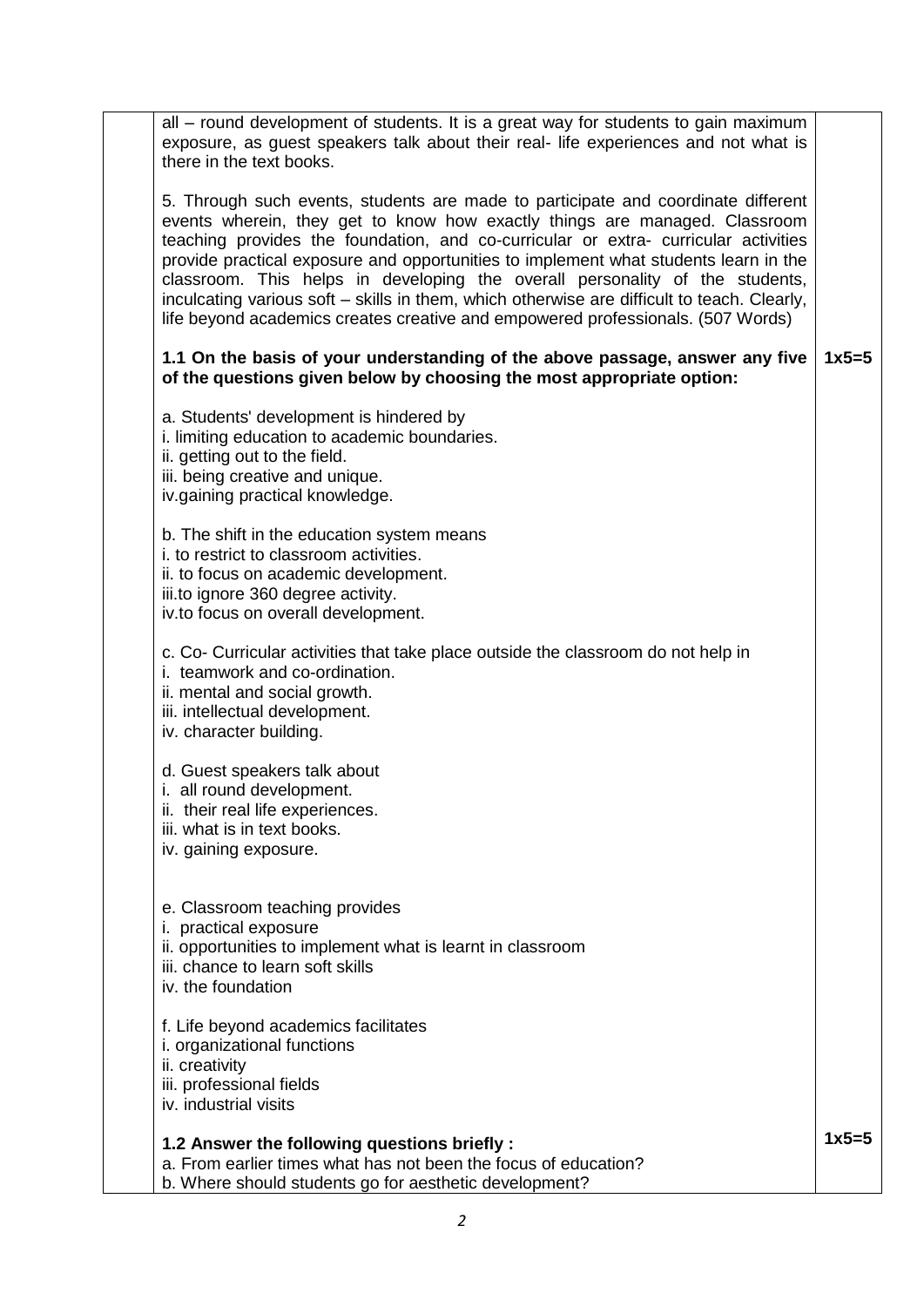| all – round development of students. It is a great way for students to gain maximum<br>exposure, as guest speakers talk about their real- life experiences and not what is<br>there in the text books.                                                                                                                                                                                                                                                                                                                                                                                                           |         |
|------------------------------------------------------------------------------------------------------------------------------------------------------------------------------------------------------------------------------------------------------------------------------------------------------------------------------------------------------------------------------------------------------------------------------------------------------------------------------------------------------------------------------------------------------------------------------------------------------------------|---------|
| 5. Through such events, students are made to participate and coordinate different<br>events wherein, they get to know how exactly things are managed. Classroom<br>teaching provides the foundation, and co-curricular or extra- curricular activities<br>provide practical exposure and opportunities to implement what students learn in the<br>classroom. This helps in developing the overall personality of the students,<br>inculcating various soft - skills in them, which otherwise are difficult to teach. Clearly,<br>life beyond academics creates creative and empowered professionals. (507 Words) |         |
| 1.1 On the basis of your understanding of the above passage, answer any five<br>of the questions given below by choosing the most appropriate option:                                                                                                                                                                                                                                                                                                                                                                                                                                                            | $1x5=5$ |
| a. Students' development is hindered by<br>i. limiting education to academic boundaries.<br>ii. getting out to the field.<br>iii. being creative and unique.<br>iv.gaining practical knowledge.                                                                                                                                                                                                                                                                                                                                                                                                                  |         |
| b. The shift in the education system means<br><i>i.</i> to restrict to classroom activities.<br>ii. to focus on academic development.<br>iii.to ignore 360 degree activity.<br>iv.to focus on overall development.                                                                                                                                                                                                                                                                                                                                                                                               |         |
| c. Co- Curricular activities that take place outside the classroom do not help in<br>i. teamwork and co-ordination.<br>ii. mental and social growth.<br>iii. intellectual development.<br>iv. character building.                                                                                                                                                                                                                                                                                                                                                                                                |         |
| d. Guest speakers talk about<br>i. all round development.<br>ii. their real life experiences.<br>iii. what is in text books.<br>iv. gaining exposure.                                                                                                                                                                                                                                                                                                                                                                                                                                                            |         |
| e. Classroom teaching provides<br>i. practical exposure<br>ii. opportunities to implement what is learnt in classroom<br>iii. chance to learn soft skills<br>iv. the foundation                                                                                                                                                                                                                                                                                                                                                                                                                                  |         |
| f. Life beyond academics facilitates<br>i. organizational functions<br>ii. creativity<br>iii. professional fields<br>iv. industrial visits                                                                                                                                                                                                                                                                                                                                                                                                                                                                       |         |
| 1.2 Answer the following questions briefly:<br>a. From earlier times what has not been the focus of education?<br>b. Where should students go for aesthetic development?                                                                                                                                                                                                                                                                                                                                                                                                                                         | $1x5=5$ |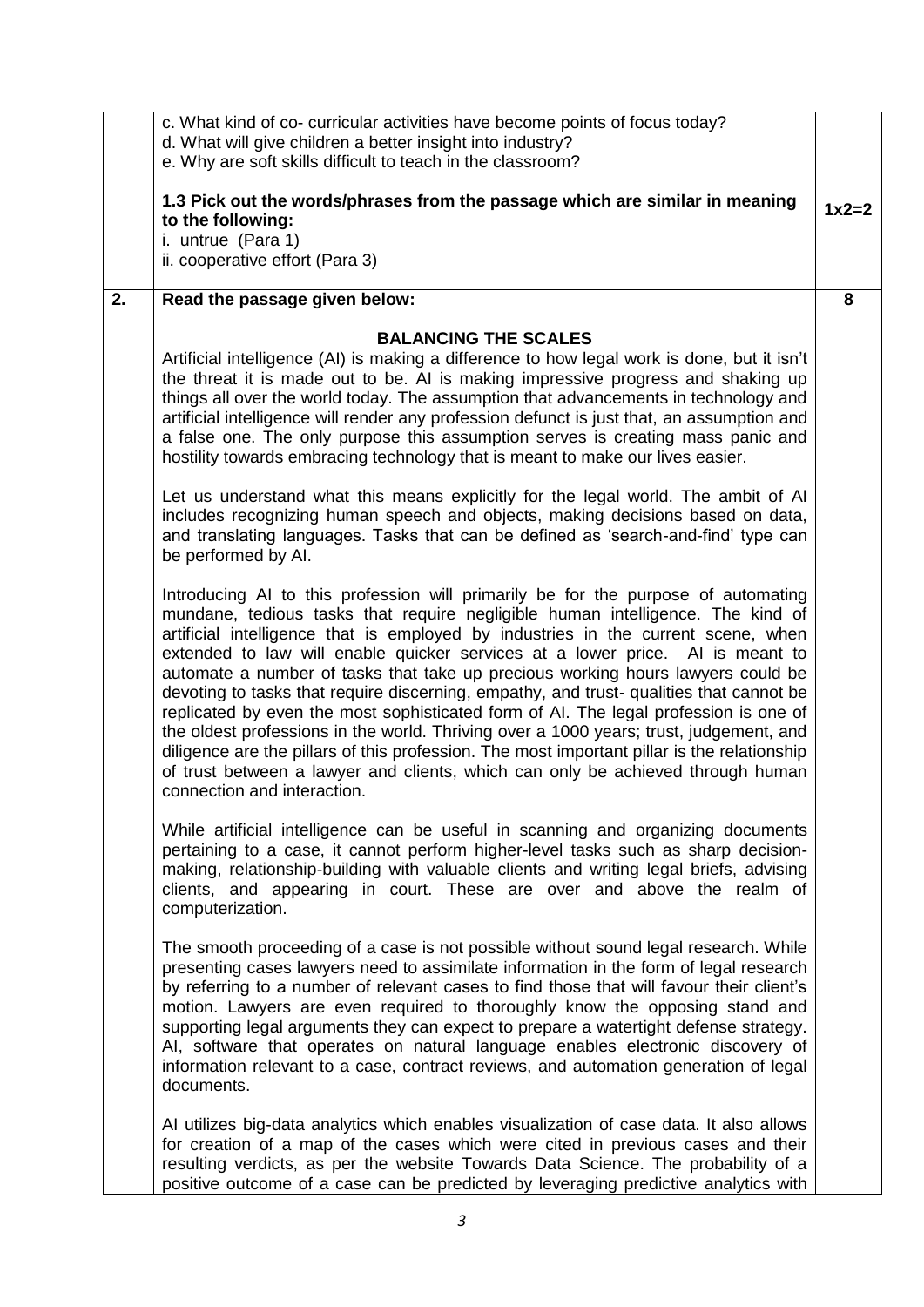|    | c. What kind of co- curricular activities have become points of focus today?<br>d. What will give children a better insight into industry?<br>e. Why are soft skills difficult to teach in the classroom?                                                                                                                                                                                                                                                                                                                                                                                                                                                                                                                                                                                                                                                                                                                  |         |
|----|----------------------------------------------------------------------------------------------------------------------------------------------------------------------------------------------------------------------------------------------------------------------------------------------------------------------------------------------------------------------------------------------------------------------------------------------------------------------------------------------------------------------------------------------------------------------------------------------------------------------------------------------------------------------------------------------------------------------------------------------------------------------------------------------------------------------------------------------------------------------------------------------------------------------------|---------|
|    | 1.3 Pick out the words/phrases from the passage which are similar in meaning<br>to the following:<br>i. untrue (Para 1)<br>ii. cooperative effort (Para 3)                                                                                                                                                                                                                                                                                                                                                                                                                                                                                                                                                                                                                                                                                                                                                                 | $1x2=2$ |
| 2. | Read the passage given below:                                                                                                                                                                                                                                                                                                                                                                                                                                                                                                                                                                                                                                                                                                                                                                                                                                                                                              | 8       |
|    | <b>BALANCING THE SCALES</b><br>Artificial intelligence (AI) is making a difference to how legal work is done, but it isn't<br>the threat it is made out to be. Al is making impressive progress and shaking up<br>things all over the world today. The assumption that advancements in technology and<br>artificial intelligence will render any profession defunct is just that, an assumption and<br>a false one. The only purpose this assumption serves is creating mass panic and<br>hostility towards embracing technology that is meant to make our lives easier.                                                                                                                                                                                                                                                                                                                                                   |         |
|    | Let us understand what this means explicitly for the legal world. The ambit of AI<br>includes recognizing human speech and objects, making decisions based on data,<br>and translating languages. Tasks that can be defined as 'search-and-find' type can<br>be performed by AI.                                                                                                                                                                                                                                                                                                                                                                                                                                                                                                                                                                                                                                           |         |
|    | Introducing AI to this profession will primarily be for the purpose of automating<br>mundane, tedious tasks that require negligible human intelligence. The kind of<br>artificial intelligence that is employed by industries in the current scene, when<br>extended to law will enable quicker services at a lower price. Al is meant to<br>automate a number of tasks that take up precious working hours lawyers could be<br>devoting to tasks that require discerning, empathy, and trust- qualities that cannot be<br>replicated by even the most sophisticated form of AI. The legal profession is one of<br>the oldest professions in the world. Thriving over a 1000 years; trust, judgement, and<br>diligence are the pillars of this profession. The most important pillar is the relationship<br>of trust between a lawyer and clients, which can only be achieved through human<br>connection and interaction. |         |
|    | While artificial intelligence can be useful in scanning and organizing documents<br>pertaining to a case, it cannot perform higher-level tasks such as sharp decision-<br>making, relationship-building with valuable clients and writing legal briefs, advising<br>clients, and appearing in court. These are over and above the realm of<br>computerization.                                                                                                                                                                                                                                                                                                                                                                                                                                                                                                                                                             |         |
|    | The smooth proceeding of a case is not possible without sound legal research. While<br>presenting cases lawyers need to assimilate information in the form of legal research<br>by referring to a number of relevant cases to find those that will favour their client's<br>motion. Lawyers are even required to thoroughly know the opposing stand and<br>supporting legal arguments they can expect to prepare a watertight defense strategy.<br>AI, software that operates on natural language enables electronic discovery of<br>information relevant to a case, contract reviews, and automation generation of legal<br>documents.                                                                                                                                                                                                                                                                                    |         |
|    | AI utilizes big-data analytics which enables visualization of case data. It also allows<br>for creation of a map of the cases which were cited in previous cases and their<br>resulting verdicts, as per the website Towards Data Science. The probability of a<br>positive outcome of a case can be predicted by leveraging predictive analytics with                                                                                                                                                                                                                                                                                                                                                                                                                                                                                                                                                                     |         |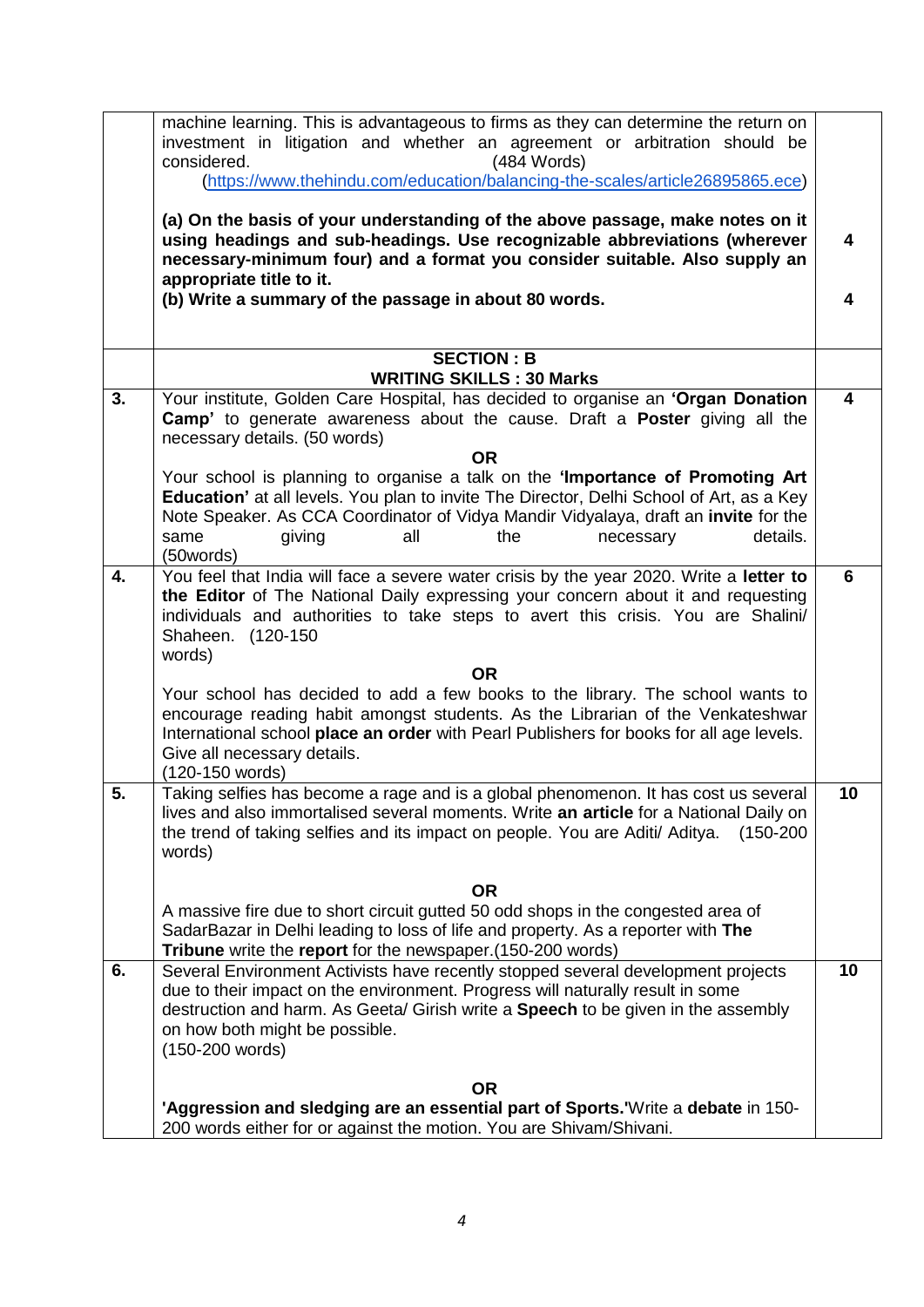|    | machine learning. This is advantageous to firms as they can determine the return on                                                                                                                                                                                                        |                         |
|----|--------------------------------------------------------------------------------------------------------------------------------------------------------------------------------------------------------------------------------------------------------------------------------------------|-------------------------|
|    | investment in litigation and whether an agreement or arbitration should be<br>(484 Words)<br>considered.                                                                                                                                                                                   |                         |
|    | (https://www.thehindu.com/education/balancing-the-scales/article26895865.ece)                                                                                                                                                                                                              |                         |
|    |                                                                                                                                                                                                                                                                                            |                         |
|    | (a) On the basis of your understanding of the above passage, make notes on it<br>using headings and sub-headings. Use recognizable abbreviations (wherever<br>necessary-minimum four) and a format you consider suitable. Also supply an                                                   | 4                       |
|    | appropriate title to it.                                                                                                                                                                                                                                                                   |                         |
|    | (b) Write a summary of the passage in about 80 words.                                                                                                                                                                                                                                      | 4                       |
|    | <b>SECTION: B</b>                                                                                                                                                                                                                                                                          |                         |
|    | <b>WRITING SKILLS: 30 Marks</b>                                                                                                                                                                                                                                                            |                         |
| 3. | Your institute, Golden Care Hospital, has decided to organise an 'Organ Donation                                                                                                                                                                                                           | $\overline{\mathbf{4}}$ |
|    | Camp' to generate awareness about the cause. Draft a Poster giving all the<br>necessary details. (50 words)                                                                                                                                                                                |                         |
|    | <b>OR</b>                                                                                                                                                                                                                                                                                  |                         |
|    | Your school is planning to organise a talk on the 'Importance of Promoting Art<br>Education' at all levels. You plan to invite The Director, Delhi School of Art, as a Key<br>Note Speaker. As CCA Coordinator of Vidya Mandir Vidyalaya, draft an invite for the                          |                         |
|    | details.<br>giving<br>all<br>the<br>same<br>necessary                                                                                                                                                                                                                                      |                         |
|    | (50words)                                                                                                                                                                                                                                                                                  |                         |
| 4. | You feel that India will face a severe water crisis by the year 2020. Write a letter to<br>the Editor of The National Daily expressing your concern about it and requesting<br>individuals and authorities to take steps to avert this crisis. You are Shalini/<br>Shaheen.<br>$(120-150)$ | 6                       |
|    | words)<br><b>OR</b>                                                                                                                                                                                                                                                                        |                         |
|    | Your school has decided to add a few books to the library. The school wants to                                                                                                                                                                                                             |                         |
|    | encourage reading habit amongst students. As the Librarian of the Venkateshwar<br>International school place an order with Pearl Publishers for books for all age levels.<br>Give all necessary details.                                                                                   |                         |
|    | (120-150 words)                                                                                                                                                                                                                                                                            |                         |
| 5. | Taking selfies has become a rage and is a global phenomenon. It has cost us several<br>lives and also immortalised several moments. Write an article for a National Daily on<br>the trend of taking selfies and its impact on people. You are Aditi/ Aditya.<br>$(150-200)$<br>words)      | 10                      |
|    | <b>OR</b>                                                                                                                                                                                                                                                                                  |                         |
|    | A massive fire due to short circuit gutted 50 odd shops in the congested area of                                                                                                                                                                                                           |                         |
|    | SadarBazar in Delhi leading to loss of life and property. As a reporter with The<br>Tribune write the report for the newspaper. (150-200 words)                                                                                                                                            |                         |
| 6. | Several Environment Activists have recently stopped several development projects                                                                                                                                                                                                           | 10                      |
|    | due to their impact on the environment. Progress will naturally result in some<br>destruction and harm. As Geeta/ Girish write a <b>Speech</b> to be given in the assembly                                                                                                                 |                         |
|    | on how both might be possible.                                                                                                                                                                                                                                                             |                         |
|    | (150-200 words)                                                                                                                                                                                                                                                                            |                         |
|    |                                                                                                                                                                                                                                                                                            |                         |
|    | <b>OR</b><br>'Aggression and sledging are an essential part of Sports.'Write a debate in 150-                                                                                                                                                                                              |                         |
|    | 200 words either for or against the motion. You are Shivam/Shivani.                                                                                                                                                                                                                        |                         |